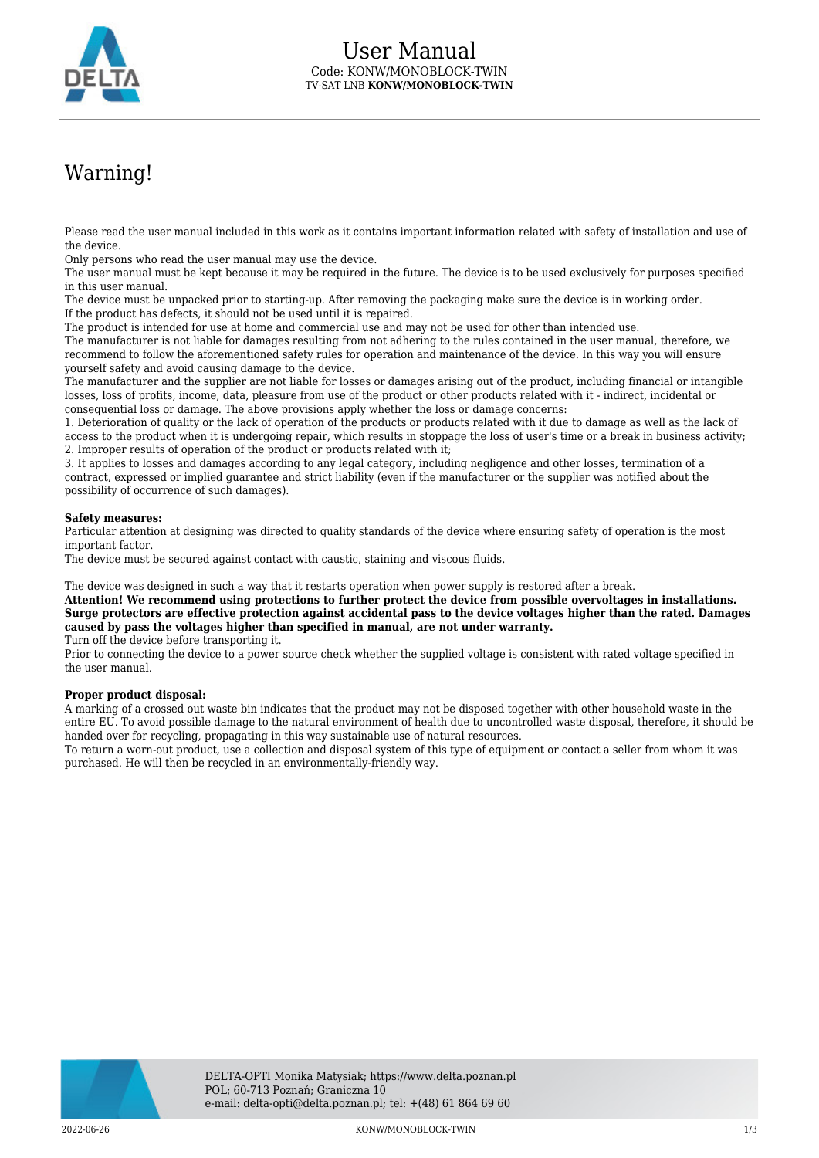

## Warning!

Please read the user manual included in this work as it contains important information related with safety of installation and use of the device.

Only persons who read the user manual may use the device.

The user manual must be kept because it may be required in the future. The device is to be used exclusively for purposes specified in this user manual.

The device must be unpacked prior to starting-up. After removing the packaging make sure the device is in working order. If the product has defects, it should not be used until it is repaired.

The product is intended for use at home and commercial use and may not be used for other than intended use.

The manufacturer is not liable for damages resulting from not adhering to the rules contained in the user manual, therefore, we recommend to follow the aforementioned safety rules for operation and maintenance of the device. In this way you will ensure yourself safety and avoid causing damage to the device.

The manufacturer and the supplier are not liable for losses or damages arising out of the product, including financial or intangible losses, loss of profits, income, data, pleasure from use of the product or other products related with it - indirect, incidental or consequential loss or damage. The above provisions apply whether the loss or damage concerns:

1. Deterioration of quality or the lack of operation of the products or products related with it due to damage as well as the lack of access to the product when it is undergoing repair, which results in stoppage the loss of user's time or a break in business activity; 2. Improper results of operation of the product or products related with it;

3. It applies to losses and damages according to any legal category, including negligence and other losses, termination of a contract, expressed or implied guarantee and strict liability (even if the manufacturer or the supplier was notified about the possibility of occurrence of such damages).

## **Safety measures:**

Particular attention at designing was directed to quality standards of the device where ensuring safety of operation is the most important factor.

The device must be secured against contact with caustic, staining and viscous fluids.

The device was designed in such a way that it restarts operation when power supply is restored after a break.

**Attention! We recommend using protections to further protect the device from possible overvoltages in installations. Surge protectors are effective protection against accidental pass to the device voltages higher than the rated. Damages caused by pass the voltages higher than specified in manual, are not under warranty.**

Turn off the device before transporting it.

Prior to connecting the device to a power source check whether the supplied voltage is consistent with rated voltage specified in the user manual.

## **Proper product disposal:**

A marking of a crossed out waste bin indicates that the product may not be disposed together with other household waste in the entire EU. To avoid possible damage to the natural environment of health due to uncontrolled waste disposal, therefore, it should be handed over for recycling, propagating in this way sustainable use of natural resources.

To return a worn-out product, use a collection and disposal system of this type of equipment or contact a seller from whom it was purchased. He will then be recycled in an environmentally-friendly way.

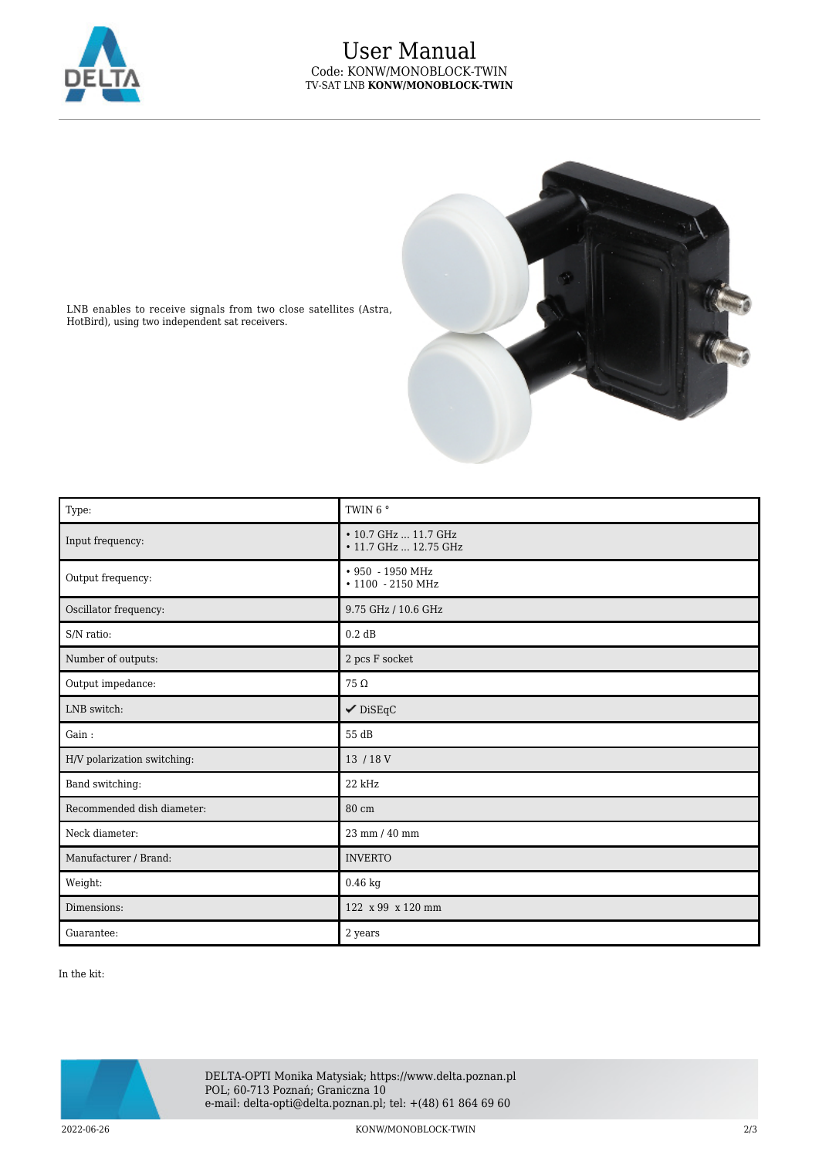

## User Manual Code: KONW/MONOBLOCK-TWIN TV-SAT LNB **KONW/MONOBLOCK-TWIN**



LNB enables to receive signals from two close satellites (Astra, HotBird), using two independent sat receivers.

| Type:                       | TWIN 6°                                       |
|-----------------------------|-----------------------------------------------|
| Input frequency:            | • 10.7 GHz  11.7 GHz<br>• 11.7 GHz  12.75 GHz |
| Output frequency:           | • 950 - 1950 MHz<br>• 1100 - 2150 MHz         |
| Oscillator frequency:       | 9.75 GHz / 10.6 GHz                           |
| S/N ratio:                  | 0.2 dB                                        |
| Number of outputs:          | $2~\mathrm{pcs}$ F socket                     |
| Output impedance:           | $75\,\Omega$                                  |
| LNB switch:                 | $\checkmark$ DiSEqC                           |
| Gain:                       | 55 dB                                         |
| H/V polarization switching: | 13 / 18 V                                     |
| Band switching:             | 22 kHz                                        |
| Recommended dish diameter:  | 80 cm                                         |
| Neck diameter:              | 23 mm / 40 mm                                 |
| Manufacturer / Brand:       | <b>INVERTO</b>                                |
| Weight:                     | $0.46$ kg                                     |
| Dimensions:                 | 122 x 99 x 120 mm                             |
| Guarantee:                  | 2 years                                       |

In the kit: